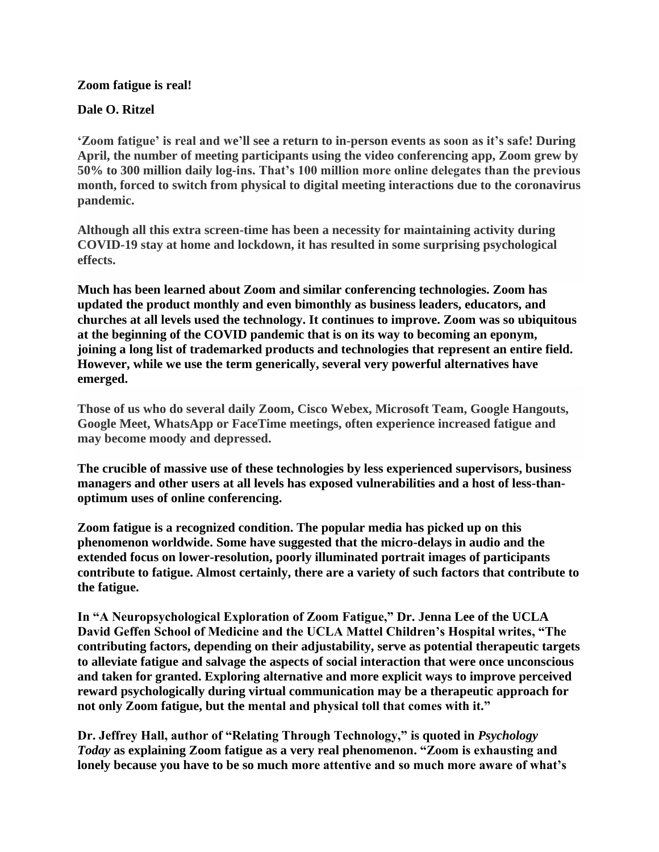#### **Zoom fatigue is real!**

#### **Dale O. Ritzel**

**'Zoom fatigue' is real and we'll see a return to in-person events as soon as it's safe! During April, the number of meeting participants using the video conferencing app, Zoom grew by 50% to 300 million daily log-ins. That's 100 million more online delegates than the previous month, forced to switch from physical to digital meeting interactions due to the coronavirus pandemic.**

**Although all this extra screen-time has been a necessity for maintaining activity during COVID-19 stay at home and lockdown, it has resulted in some surprising psychological effects.**

**Much has been learned about Zoom and similar conferencing technologies. Zoom has updated the product monthly and even bimonthly as business leaders, educators, and churches at all levels used the technology. It continues to improve. Zoom was so ubiquitous at the beginning of the COVID pandemic that is on its way to becoming an eponym, joining a long list of trademarked products and technologies that represent an entire field. However, while we use the term generically, several very powerful alternatives have emerged.**

**Those of us who do several daily Zoom, Cisco Webex, Microsoft Team, Google Hangouts, Google Meet, WhatsApp or FaceTime meetings, often experience increased fatigue and may become moody and depressed.**

**The crucible of massive use of these technologies by less experienced supervisors, business managers and other users at all levels has exposed vulnerabilities and a host of less-thanoptimum uses of online conferencing.**

**Zoom fatigue is a recognized condition. The popular media has picked up on this phenomenon worldwide. Some have suggested that the micro-delays in audio and the extended focus on lower-resolution, poorly illuminated portrait images of participants contribute to fatigue. Almost certainly, there are a variety of such factors that contribute to the fatigue.**

**In "A Neuropsychological Exploration of Zoom Fatigue," Dr. Jenna Lee of the UCLA David Geffen School of Medicine and the UCLA Mattel Children's Hospital writes, "The contributing factors, depending on their adjustability, serve as potential therapeutic targets to alleviate fatigue and salvage the aspects of social interaction that were once unconscious and taken for granted. Exploring alternative and more explicit ways to improve perceived reward psychologically during virtual communication may be a therapeutic approach for not only Zoom fatigue, but the mental and physical toll that comes with it."**

**Dr. Jeffrey Hall, author of "Relating Through Technology," is quoted in** *Psychology Today* **as explaining Zoom fatigue as a very real phenomenon. "Zoom is exhausting and lonely because you have to be so much more attentive and so much more aware of what's**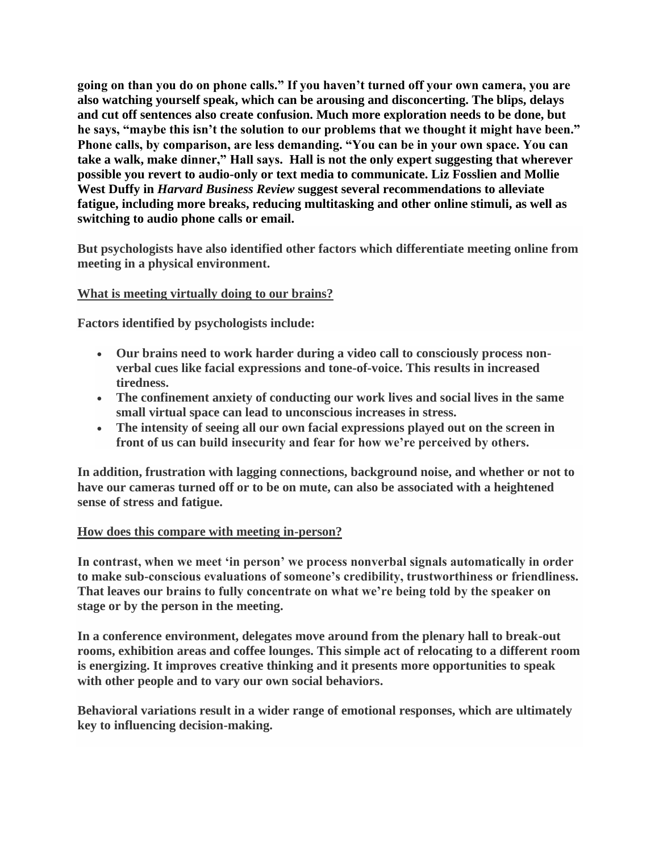**going on than you do on phone calls." If you haven't turned off your own camera, you are also watching yourself speak, which can be arousing and disconcerting. The blips, delays and cut off sentences also create confusion. Much more exploration needs to be done, but he says, "maybe this isn't the solution to our problems that we thought it might have been." Phone calls, by comparison, are less demanding. "You can be in your own space. You can take a walk, make dinner," Hall says. Hall is not the only expert suggesting that wherever possible you revert to audio-only or text media to communicate. Liz Fosslien and Mollie West Duffy in** *Harvard Business Review* **suggest several recommendations to alleviate fatigue, including more breaks, reducing multitasking and other online stimuli, as well as switching to audio phone calls or email.**

**But psychologists have also identified other factors which differentiate meeting online from meeting in a physical environment.**

## **What is meeting virtually doing to our brains?**

**Factors identified by psychologists include:**

- **Our brains need to work harder during a video call to consciously process nonverbal cues like facial expressions and tone-of-voice. This results in increased tiredness.**
- **The confinement anxiety of conducting our work lives and social lives in the same small virtual space can lead to unconscious increases in stress.**
- **The intensity of seeing all our own facial expressions played out on the screen in front of us can build insecurity and fear for how we're perceived by others.**

**In addition, frustration with lagging connections, background noise, and whether or not to have our cameras turned off or to be on mute, can also be associated with a heightened sense of stress and fatigue.**

## **How does this compare with meeting in-person?**

**In contrast, when we meet 'in person' we process nonverbal signals automatically in order to make sub-conscious evaluations of someone's credibility, trustworthiness or friendliness. That leaves our brains to fully concentrate on what we're being told by the speaker on stage or by the person in the meeting.**

**In a conference environment, delegates move around from the plenary hall to break-out rooms, exhibition areas and coffee lounges. This simple act of relocating to a different room is energizing. It improves creative thinking and it presents more opportunities to speak with other people and to vary our own social behaviors.**

**Behavioral variations result in a wider range of emotional responses, which are ultimately key to influencing decision-making.**